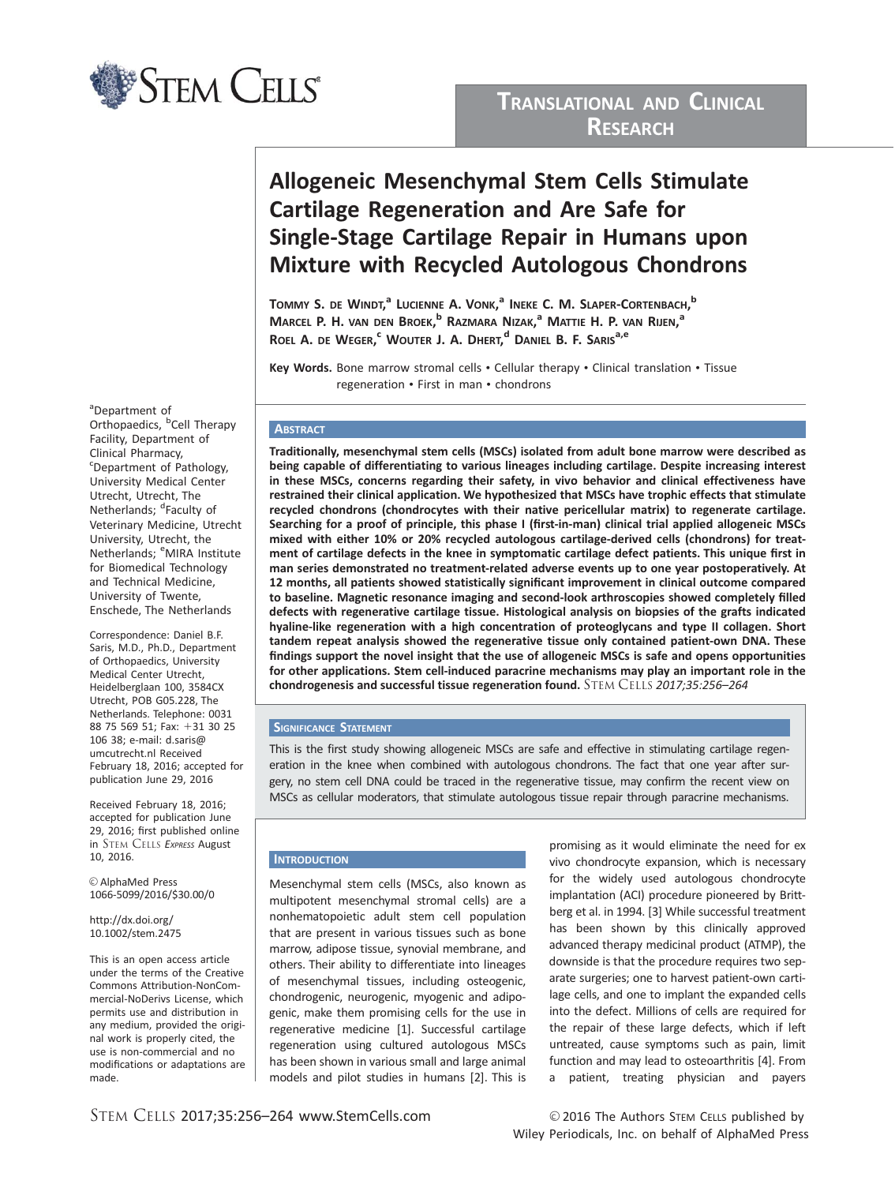

## TRANSLATIONAL AND CLINICAL RESEARCH

# Allogeneic Mesenchymal Stem Cells Stimulate Cartilage Regeneration and Are Safe for Single-Stage Cartilage Repair in Humans upon Mixture with Recycled Autologous Chondrons

Tommy S. de Windt,<sup>a</sup> Lucienne A. Vonk,<sup>a</sup> Ineke C. M. Slaper-Cortenbach,<sup>b</sup> Marcel P. H. van den Broek,<sup>b</sup> Razmara Nizak,<sup>a</sup> Mattie H. P. van Rijen,<sup>a</sup> Roel A. de Weger,<sup>c</sup> Wouter J. A. Dhert,<sup>d</sup> Daniel B. F. Saris<sup>a,e</sup>

Key Words. Bone marrow stromal cells • Cellular therapy • Clinical translation • Tissue regeneration • First in man • chondrons

## **ABSTRACT**

Traditionally, mesenchymal stem cells (MSCs) isolated from adult bone marrow were described as being capable of differentiating to various lineages including cartilage. Despite increasing interest in these MSCs, concerns regarding their safety, in vivo behavior and clinical effectiveness have restrained their clinical application. We hypothesized that MSCs have trophic effects that stimulate recycled chondrons (chondrocytes with their native pericellular matrix) to regenerate cartilage. Searching for a proof of principle, this phase I (first-in-man) clinical trial applied allogeneic MSCs mixed with either 10% or 20% recycled autologous cartilage-derived cells (chondrons) for treatment of cartilage defects in the knee in symptomatic cartilage defect patients. This unique first in man series demonstrated no treatment-related adverse events up to one year postoperatively. At 12 months, all patients showed statistically significant improvement in clinical outcome compared to baseline. Magnetic resonance imaging and second-look arthroscopies showed completely filled defects with regenerative cartilage tissue. Histological analysis on biopsies of the grafts indicated hyaline-like regeneration with a high concentration of proteoglycans and type II collagen. Short tandem repeat analysis showed the regenerative tissue only contained patient-own DNA. These findings support the novel insight that the use of allogeneic MSCs is safe and opens opportunities for other applications. Stem cell-induced paracrine mechanisms may play an important role in the chondrogenesis and successful tissue regeneration found. STEM CELLS 2017;35:256–264

## **SIGNIFICANCE STATEMENT**

This is the first study showing allogeneic MSCs are safe and effective in stimulating cartilage regeneration in the knee when combined with autologous chondrons. The fact that one year after surgery, no stem cell DNA could be traced in the regenerative tissue, may confirm the recent view on MSCs as cellular moderators, that stimulate autologous tissue repair through paracrine mechanisms.

## **INTRODUCTION**

Mesenchymal stem cells (MSCs, also known as multipotent mesenchymal stromal cells) are a nonhematopoietic adult stem cell population that are present in various tissues such as bone marrow, adipose tissue, synovial membrane, and others. Their ability to differentiate into lineages of mesenchymal tissues, including osteogenic, chondrogenic, neurogenic, myogenic and adipogenic, make them promising cells for the use in regenerative medicine [1]. Successful cartilage regeneration using cultured autologous MSCs has been shown in various small and large animal models and pilot studies in humans [2]. This is

promising as it would eliminate the need for ex vivo chondrocyte expansion, which is necessary for the widely used autologous chondrocyte implantation (ACI) procedure pioneered by Brittberg et al. in 1994. [3] While successful treatment has been shown by this clinically approved advanced therapy medicinal product (ATMP), the downside is that the procedure requires two separate surgeries; one to harvest patient-own cartilage cells, and one to implant the expanded cells into the defect. Millions of cells are required for the repair of these large defects, which if left untreated, cause symptoms such as pain, limit function and may lead to osteoarthritis [4]. From a patient, treating physician and payers

<sup>a</sup>Department of Orthopaedics, <sup>b</sup>Cell Therapy Facility, Department of Clinical Pharmacy, <sup>c</sup>Department of Pathology, University Medical Center Utrecht, Utrecht, The Netherlands; <sup>d</sup>Faculty of Veterinary Medicine, Utrecht University, Utrecht, the Netherlands; <sup>e</sup>MIRA Institute for Biomedical Technology and Technical Medicine, University of Twente, Enschede, The Netherlands

Correspondence: Daniel B.F. Saris, M.D., Ph.D., Department of Orthopaedics, University Medical Center Utrecht, Heidelberglaan 100, 3584CX Utrecht, POB G05.228, The Netherlands. Telephone: 0031 88 75 569 51: Fax: +31 30 25 106 38; e-mail: d.saris@ umcutrecht.nl Received February 18, 2016; accepted for publication June 29, 2016

Received February 18, 2016; accepted for publication June 29, 2016; first published online in STEM CELLS EXPRESS August 10, 2016.

V<sup>C</sup> AlphaMed Press 1066-5099/2016/\$30.00/0

#### http://dx.doi.org/ 10.1002/stem.2475

This is an open access article under the terms of the [Creative](http://creativecommons.org/licenses/by-nc-nd/3.0/) [Commons Attribution-NonCom](http://creativecommons.org/licenses/by-nc-nd/3.0/)[mercial-NoDerivs](http://creativecommons.org/licenses/by-nc-nd/3.0/) License, which permits use and distribution in any medium, provided the original work is properly cited, the use is non-commercial and no modifications or adaptations are made.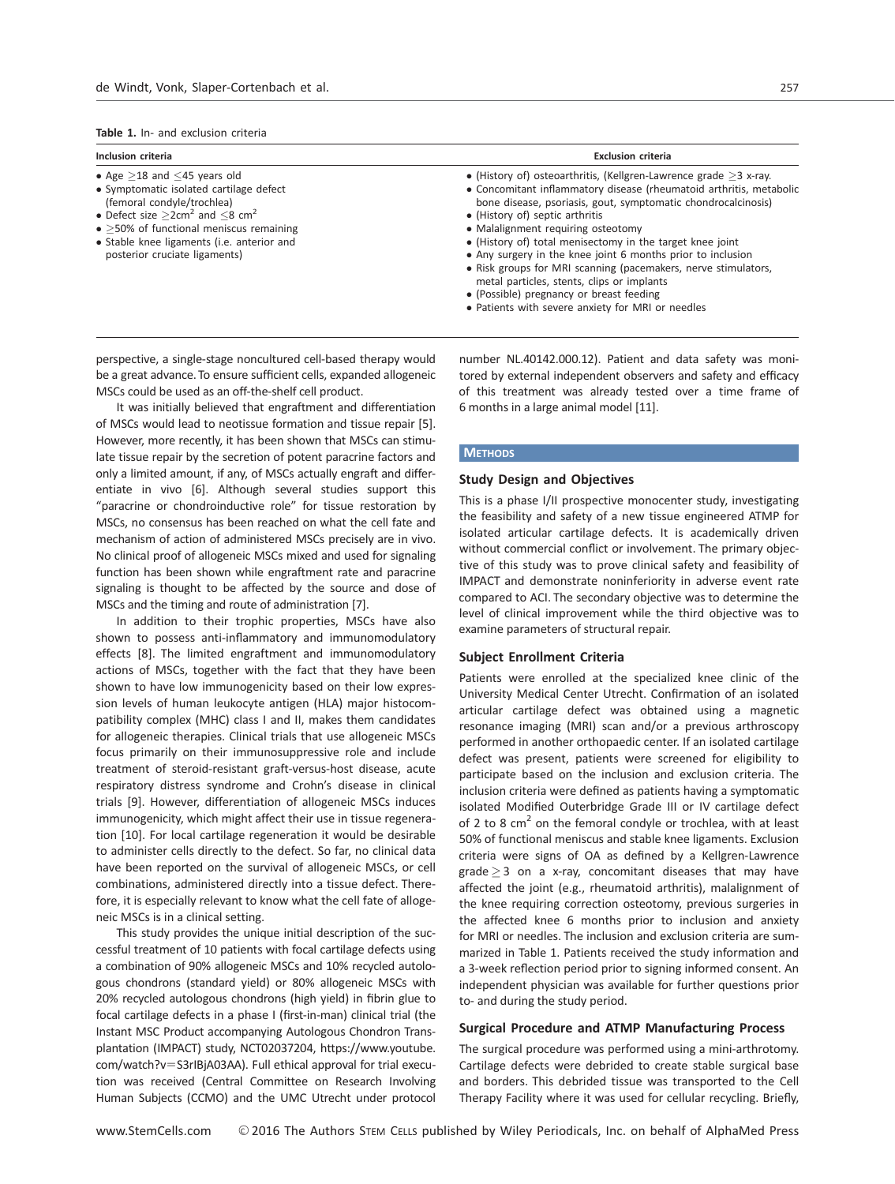#### Table 1. In- and exclusion criteria

| Inclusion criteria                                                                                                                                                                                                                                                                                          | <b>Exclusion criteria</b>                                                                                                                                                                                                                                                                                                                                                                                                                                                                                                                                                                                                         |
|-------------------------------------------------------------------------------------------------------------------------------------------------------------------------------------------------------------------------------------------------------------------------------------------------------------|-----------------------------------------------------------------------------------------------------------------------------------------------------------------------------------------------------------------------------------------------------------------------------------------------------------------------------------------------------------------------------------------------------------------------------------------------------------------------------------------------------------------------------------------------------------------------------------------------------------------------------------|
| • Age $>18$ and $<$ 45 years old<br>• Symptomatic isolated cartilage defect<br>(femoral condyle/trochlea)<br>• Defect size $>2$ cm <sup>2</sup> and $<$ 8 cm <sup>2</sup><br>$\bullet$ >50% of functional meniscus remaining<br>• Stable knee ligaments (i.e. anterior and<br>posterior cruciate ligaments) | • (History of) osteoarthritis, (Kellgren-Lawrence grade $>3$ x-ray.<br>• Concomitant inflammatory disease (rheumatoid arthritis, metabolic<br>bone disease, psoriasis, gout, symptomatic chondrocalcinosis)<br>• (History of) septic arthritis<br>• Malalignment requiring osteotomy<br>• (History of) total menisectomy in the target knee joint<br>• Any surgery in the knee joint 6 months prior to inclusion<br>• Risk groups for MRI scanning (pacemakers, nerve stimulators,<br>metal particles, stents, clips or implants<br>• (Possible) pregnancy or breast feeding<br>• Patients with severe anxiety for MRI or needles |

perspective, a single-stage noncultured cell-based therapy would be a great advance. To ensure sufficient cells, expanded allogeneic MSCs could be used as an off-the-shelf cell product.

It was initially believed that engraftment and differentiation of MSCs would lead to neotissue formation and tissue repair [5]. However, more recently, it has been shown that MSCs can stimulate tissue repair by the secretion of potent paracrine factors and only a limited amount, if any, of MSCs actually engraft and differentiate in vivo [6]. Although several studies support this "paracrine or chondroinductive role" for tissue restoration by MSCs, no consensus has been reached on what the cell fate and mechanism of action of administered MSCs precisely are in vivo. No clinical proof of allogeneic MSCs mixed and used for signaling function has been shown while engraftment rate and paracrine signaling is thought to be affected by the source and dose of MSCs and the timing and route of administration [7].

In addition to their trophic properties, MSCs have also shown to possess anti-inflammatory and immunomodulatory effects [8]. The limited engraftment and immunomodulatory actions of MSCs, together with the fact that they have been shown to have low immunogenicity based on their low expression levels of human leukocyte antigen (HLA) major histocompatibility complex (MHC) class I and II, makes them candidates for allogeneic therapies. Clinical trials that use allogeneic MSCs focus primarily on their immunosuppressive role and include treatment of steroid-resistant graft-versus-host disease, acute respiratory distress syndrome and Crohn's disease in clinical trials [9]. However, differentiation of allogeneic MSCs induces immunogenicity, which might affect their use in tissue regeneration [10]. For local cartilage regeneration it would be desirable to administer cells directly to the defect. So far, no clinical data have been reported on the survival of allogeneic MSCs, or cell combinations, administered directly into a tissue defect. Therefore, it is especially relevant to know what the cell fate of allogeneic MSCs is in a clinical setting.

This study provides the unique initial description of the successful treatment of 10 patients with focal cartilage defects using a combination of 90% allogeneic MSCs and 10% recycled autologous chondrons (standard yield) or 80% allogeneic MSCs with 20% recycled autologous chondrons (high yield) in fibrin glue to focal cartilage defects in a phase I (first-in-man) clinical trial (the Instant MSC Product accompanying Autologous Chondron Transplantation (IMPACT) study, NCT02037204, [https://www.youtube.](http://https://www.youtube.com/watch?v=S3rIBjA03AA) [com/watch?v](http://https://www.youtube.com/watch?v=S3rIBjA03AA)=[S3rIBjA03AA](http://https://www.youtube.com/watch?v=S3rIBjA03AA)). Full ethical approval for trial execution was received (Central Committee on Research Involving Human Subjects (CCMO) and the UMC Utrecht under protocol number NL.40142.000.12). Patient and data safety was monitored by external independent observers and safety and efficacy of this treatment was already tested over a time frame of 6 months in a large animal model [11].

#### **METHODS**

## Study Design and Objectives

This is a phase I/II prospective monocenter study, investigating the feasibility and safety of a new tissue engineered ATMP for isolated articular cartilage defects. It is academically driven without commercial conflict or involvement. The primary objective of this study was to prove clinical safety and feasibility of IMPACT and demonstrate noninferiority in adverse event rate compared to ACI. The secondary objective was to determine the level of clinical improvement while the third objective was to examine parameters of structural repair.

## Subject Enrollment Criteria

Patients were enrolled at the specialized knee clinic of the University Medical Center Utrecht. Confirmation of an isolated articular cartilage defect was obtained using a magnetic resonance imaging (MRI) scan and/or a previous arthroscopy performed in another orthopaedic center. If an isolated cartilage defect was present, patients were screened for eligibility to participate based on the inclusion and exclusion criteria. The inclusion criteria were defined as patients having a symptomatic isolated Modified Outerbridge Grade III or IV cartilage defect of 2 to 8  $cm<sup>2</sup>$  on the femoral condyle or trochlea, with at least 50% of functional meniscus and stable knee ligaments. Exclusion criteria were signs of OA as defined by a Kellgren-Lawrence grade  $\geq$  3 on a x-ray, concomitant diseases that may have affected the joint (e.g., rheumatoid arthritis), malalignment of the knee requiring correction osteotomy, previous surgeries in the affected knee 6 months prior to inclusion and anxiety for MRI or needles. The inclusion and exclusion criteria are summarized in Table 1. Patients received the study information and a 3-week reflection period prior to signing informed consent. An independent physician was available for further questions prior to- and during the study period.

## Surgical Procedure and ATMP Manufacturing Process

The surgical procedure was performed using a mini-arthrotomy. Cartilage defects were debrided to create stable surgical base and borders. This debrided tissue was transported to the Cell Therapy Facility where it was used for cellular recycling. Briefly,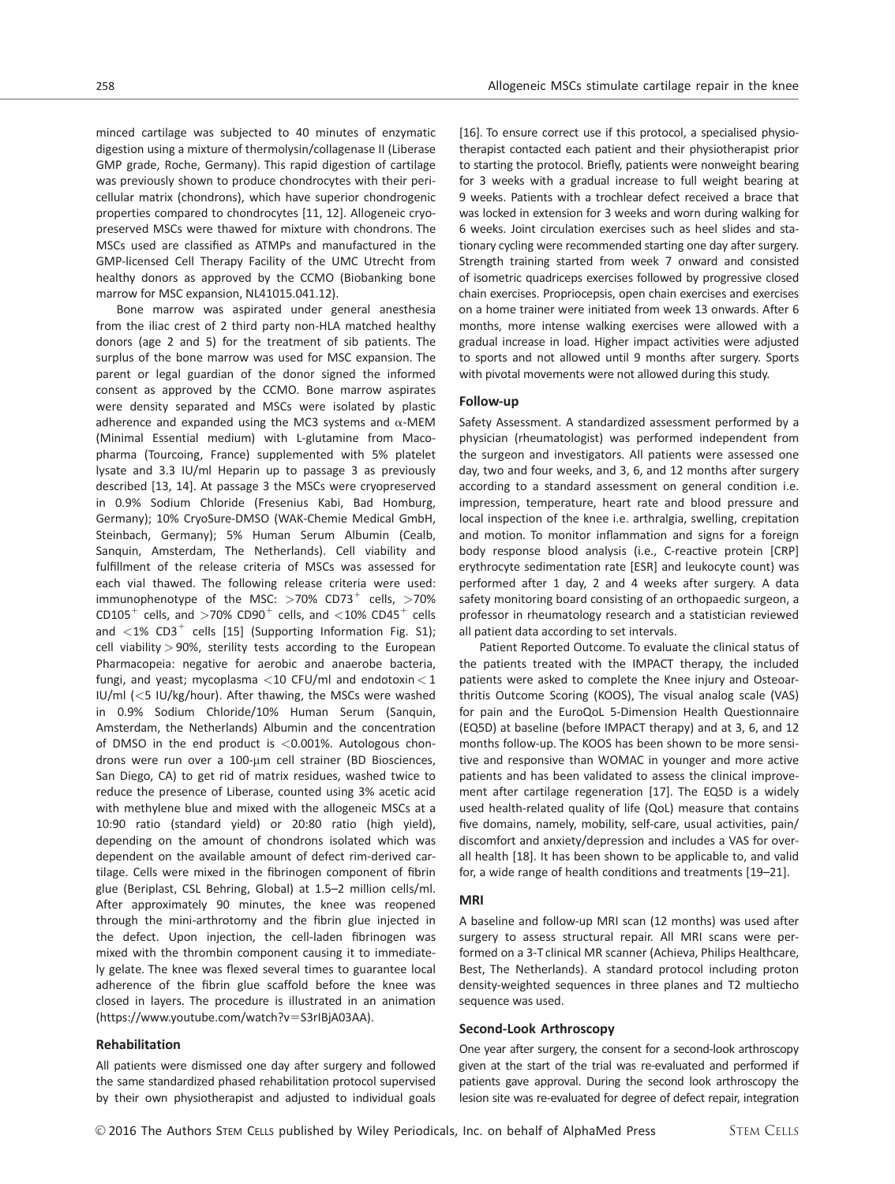minced cartilage was subjected to 40 minutes of enzymatic digestion using a mixture of thermolysin/collagenase II (Liberase GMP grade, Roche, Germany). This rapid digestion of cartilage was previously shown to produce chondrocytes with their pericellular matrix (chondrons), which have superior chondrogenic properties compared to chondrocytes [11, 12]. Allogeneic cryopreserved MSCs were thawed for mixture with chondrons. The MSCs used are classified as ATMPs and manufactured in the GMP-licensed Cell Therapy Facility of the UMC Utrecht from healthy donors as approved by the CCMO (Biobanking bone marrow for MSC expansion, NL41015.041.12).

Bone marrow was aspirated under general anesthesia from the iliac crest of 2 third party non-HLA matched healthy donors (age 2 and 5) for the treatment of sib patients. The surplus of the bone marrow was used for MSC expansion. The parent or legal guardian of the donor signed the informed consent as approved by the CCMO. Bone marrow aspirates were density separated and MSCs were isolated by plastic adherence and expanded using the MC3 systems and  $\alpha$ -MEM (Minimal Essential medium) with L-glutamine from Macopharma (Tourcoing, France) supplemented with 5% platelet lysate and 3.3 IU/ml Heparin up to passage 3 as previously described [13, 14]. At passage 3 the MSCs were cryopreserved in 0.9% Sodium Chloride (Fresenius Kabi, Bad Homburg, Germany); 10% CryoSure-DMSO (WAK-Chemie Medical GmbH, Steinbach, Germany); 5% Human Serum Albumin (Cealb, Sanquin, Amsterdam, The Netherlands). Cell viability and fulfillment of the release criteria of MSCs was assessed for each vial thawed. The following release criteria were used: immunophenotype of the MSC:  $>70\%$  CD73<sup>+</sup> cells,  $>70\%$ CD105<sup>+</sup> cells, and  $>70\%$  CD90<sup>+</sup> cells, and  $<$ 10% CD45<sup>+</sup> cells and  $\langle 1\%$  CD3<sup>+</sup> cells [15] (Supporting Information Fig. S1); cell viability  $> 90\%$ , sterility tests according to the European Pharmacopeia: negative for aerobic and anaerobe bacteria, fungi, and yeast; mycoplasma <10 CFU/ml and endotoxin <1 IU/ml (<5 IU/kg/hour). After thawing, the MSCs were washed in 0.9% Sodium Chloride/10% Human Serum (Sanquin, Amsterdam, the Netherlands) Albumin and the concentration of DMSO in the end product is <0.001%. Autologous chondrons were run over a 100-µm cell strainer (BD Biosciences, San Diego, CA) to get rid of matrix residues, washed twice to reduce the presence of Liberase, counted using 3% acetic acid with methylene blue and mixed with the allogeneic MSCs at a 10:90 ratio (standard yield) or 20:80 ratio (high yield), depending on the amount of chondrons isolated which was dependent on the available amount of defect rim-derived cartilage. Cells were mixed in the fibrinogen component of fibrin glue (Beriplast, CSL Behring, Global) at 1.5–2 million cells/ml. After approximately 90 minutes, the knee was reopened through the mini-arthrotomy and the fibrin glue injected in the defect. Upon injection, the cell-laden fibrinogen was mixed with the thrombin component causing it to immediately gelate. The knee was flexed several times to guarantee local adherence of the fibrin glue scaffold before the knee was closed in layers. The procedure is illustrated in an animation [\(https://www.youtube.com/watch?v](http://https://www.youtube.com/watch?v=S3rIBjA03AA)=[S3rIBjA03AA](http://https://www.youtube.com/watch?v=S3rIBjA03AA)).

#### Rehabilitation

All patients were dismissed one day after surgery and followed the same standardized phased rehabilitation protocol supervised by their own physiotherapist and adjusted to individual goals

[16]. To ensure correct use if this protocol, a specialised physiotherapist contacted each patient and their physiotherapist prior to starting the protocol. Briefly, patients were nonweight bearing for 3 weeks with a gradual increase to full weight bearing at 9 weeks. Patients with a trochlear defect received a brace that was locked in extension for 3 weeks and worn during walking for 6 weeks. Joint circulation exercises such as heel slides and stationary cycling were recommended starting one day after surgery. Strength training started from week 7 onward and consisted of isometric quadriceps exercises followed by progressive closed chain exercises. Propriocepsis, open chain exercises and exercises on a home trainer were initiated from week 13 onwards. After 6 months, more intense walking exercises were allowed with a gradual increase in load. Higher impact activities were adjusted to sports and not allowed until 9 months after surgery. Sports with pivotal movements were not allowed during this study.

## Follow-up

Safety Assessment. A standardized assessment performed by a physician (rheumatologist) was performed independent from the surgeon and investigators. All patients were assessed one day, two and four weeks, and 3, 6, and 12 months after surgery according to a standard assessment on general condition i.e. impression, temperature, heart rate and blood pressure and local inspection of the knee i.e. arthralgia, swelling, crepitation and motion. To monitor inflammation and signs for a foreign body response blood analysis (i.e., C-reactive protein [CRP] erythrocyte sedimentation rate [ESR] and leukocyte count) was performed after 1 day, 2 and 4 weeks after surgery. A data safety monitoring board consisting of an orthopaedic surgeon, a professor in rheumatology research and a statistician reviewed all patient data according to set intervals.

Patient Reported Outcome. To evaluate the clinical status of the patients treated with the IMPACT therapy, the included patients were asked to complete the Knee injury and Osteoarthritis Outcome Scoring (KOOS), The visual analog scale (VAS) for pain and the EuroQoL 5-Dimension Health Questionnaire (EQ5D) at baseline (before IMPACT therapy) and at 3, 6, and 12 months follow-up. The KOOS has been shown to be more sensitive and responsive than WOMAC in younger and more active patients and has been validated to assess the clinical improvement after cartilage regeneration [17]. The EQ5D is a widely used health-related quality of life (QoL) measure that contains five domains, namely, mobility, self-care, usual activities, pain/ discomfort and anxiety/depression and includes a VAS for overall health [18]. It has been shown to be applicable to, and valid for, a wide range of health conditions and treatments [19–21].

#### MRI

A baseline and follow-up MRI scan (12 months) was used after surgery to assess structural repair. All MRI scans were performed on a 3-T clinical MR scanner (Achieva, Philips Healthcare, Best, The Netherlands). A standard protocol including proton density-weighted sequences in three planes and T2 multiecho sequence was used.

#### Second-Look Arthroscopy

One year after surgery, the consent for a second-look arthroscopy given at the start of the trial was re-evaluated and performed if patients gave approval. During the second look arthroscopy the lesion site was re-evaluated for degree of defect repair, integration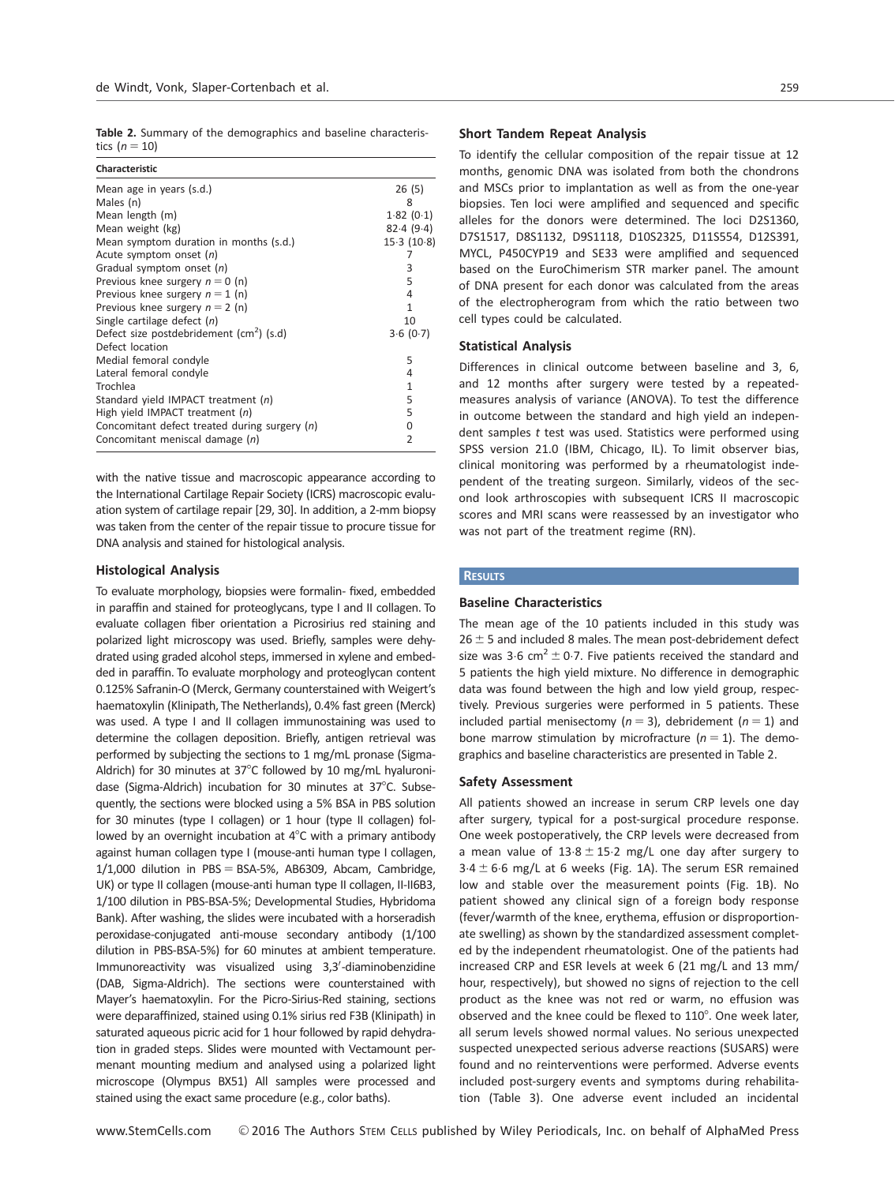Table 2. Summary of the demographics and baseline characteristics  $(n = 10)$ 

| Characteristic                                       |                |
|------------------------------------------------------|----------------|
| Mean age in years (s.d.)                             | 26(5)          |
| Males (n)                                            | 8              |
| Mean length (m)                                      | 1.82(0.1)      |
| Mean weight (kg)                                     | 82.4(9.4)      |
| Mean symptom duration in months (s.d.)               | 15.3(10.8)     |
| Acute symptom onset (n)                              |                |
| Gradual symptom onset (n)                            | 3              |
| Previous knee surgery $n = 0$ (n)                    | 5              |
| Previous knee surgery $n = 1$ (n)                    | 4              |
| Previous knee surgery $n = 2$ (n)                    | 1              |
| Single cartilage defect $(n)$                        | 10             |
| Defect size postdebridement (cm <sup>2</sup> ) (s.d) | 3.6(0.7)       |
| Defect location                                      |                |
| Medial femoral condyle                               | 5              |
| Lateral femoral condyle                              | 4              |
| Trochlea                                             | $\mathbf{1}$   |
| Standard yield IMPACT treatment (n)                  | 5              |
| High yield IMPACT treatment $(n)$                    | 5              |
| Concomitant defect treated during surgery (n)        | 0              |
| Concomitant meniscal damage (n)                      | $\overline{2}$ |

with the native tissue and macroscopic appearance according to the International Cartilage Repair Society (ICRS) macroscopic evaluation system of cartilage repair [29, 30]. In addition, a 2-mm biopsy was taken from the center of the repair tissue to procure tissue for DNA analysis and stained for histological analysis.

## Histological Analysis

To evaluate morphology, biopsies were formalin- fixed, embedded in paraffin and stained for proteoglycans, type I and II collagen. To evaluate collagen fiber orientation a Picrosirius red staining and polarized light microscopy was used. Briefly, samples were dehydrated using graded alcohol steps, immersed in xylene and embedded in paraffin. To evaluate morphology and proteoglycan content 0.125% Safranin-O (Merck, Germany counterstained with Weigert's haematoxylin (Klinipath, The Netherlands), 0.4% fast green (Merck) was used. A type I and II collagen immunostaining was used to determine the collagen deposition. Briefly, antigen retrieval was performed by subjecting the sections to 1 mg/mL pronase (Sigma-Aldrich) for 30 minutes at  $37^{\circ}$ C followed by 10 mg/mL hyaluronidase (Sigma-Aldrich) incubation for 30 minutes at 37°C. Subsequently, the sections were blocked using a 5% BSA in PBS solution for 30 minutes (type I collagen) or 1 hour (type II collagen) followed by an overnight incubation at  $4^\circ$ C with a primary antibody against human collagen type I (mouse-anti human type I collagen,  $1/1,000$  dilution in PBS = BSA-5%, AB6309, Abcam, Cambridge, UK) or type II collagen (mouse-anti human type II collagen, II-II6B3, 1/100 dilution in PBS-BSA-5%; Developmental Studies, Hybridoma Bank). After washing, the slides were incubated with a horseradish peroxidase-conjugated anti-mouse secondary antibody (1/100 dilution in PBS-BSA-5%) for 60 minutes at ambient temperature. Immunoreactivity was visualized using 3,3'-diaminobenzidine (DAB, Sigma-Aldrich). The sections were counterstained with Mayer's haematoxylin. For the Picro-Sirius-Red staining, sections were deparaffinized, stained using 0.1% sirius red F3B (Klinipath) in saturated aqueous picric acid for 1 hour followed by rapid dehydration in graded steps. Slides were mounted with Vectamount permenant mounting medium and analysed using a polarized light microscope (Olympus BX51) All samples were processed and stained using the exact same procedure (e.g., color baths).

## Short Tandem Repeat Analysis

To identify the cellular composition of the repair tissue at 12 months, genomic DNA was isolated from both the chondrons and MSCs prior to implantation as well as from the one-year biopsies. Ten loci were amplified and sequenced and specific alleles for the donors were determined. The loci D2S1360, D7S1517, D8S1132, D9S1118, D10S2325, D11S554, D12S391, MYCL, P450CYP19 and SE33 were amplified and sequenced based on the EuroChimerism STR marker panel. The amount of DNA present for each donor was calculated from the areas of the electropherogram from which the ratio between two cell types could be calculated.

## Statistical Analysis

Differences in clinical outcome between baseline and 3, 6, and 12 months after surgery were tested by a repeatedmeasures analysis of variance (ANOVA). To test the difference in outcome between the standard and high yield an independent samples  $t$  test was used. Statistics were performed using SPSS version 21.0 (IBM, Chicago, IL). To limit observer bias, clinical monitoring was performed by a rheumatologist independent of the treating surgeon. Similarly, videos of the second look arthroscopies with subsequent ICRS II macroscopic scores and MRI scans were reassessed by an investigator who was not part of the treatment regime (RN).

## **RESULTS**

#### Baseline Characteristics

The mean age of the 10 patients included in this study was  $26 \pm 5$  and included 8 males. The mean post-debridement defect size was 3.6 cm<sup>2</sup>  $\pm$  0.7. Five patients received the standard and 5 patients the high yield mixture. No difference in demographic data was found between the high and low yield group, respectively. Previous surgeries were performed in 5 patients. These included partial menisectomy ( $n = 3$ ), debridement ( $n = 1$ ) and bone marrow stimulation by microfracture ( $n = 1$ ). The demographics and baseline characteristics are presented in Table 2.

#### Safety Assessment

All patients showed an increase in serum CRP levels one day after surgery, typical for a post-surgical procedure response. One week postoperatively, the CRP levels were decreased from a mean value of  $13.8 \pm 15.2$  mg/L one day after surgery to  $3.4 \pm 6.6$  mg/L at 6 weeks (Fig. 1A). The serum ESR remained low and stable over the measurement points (Fig. 1B). No patient showed any clinical sign of a foreign body response (fever/warmth of the knee, erythema, effusion or disproportionate swelling) as shown by the standardized assessment completed by the independent rheumatologist. One of the patients had increased CRP and ESR levels at week 6 (21 mg/L and 13 mm/ hour, respectively), but showed no signs of rejection to the cell product as the knee was not red or warm, no effusion was observed and the knee could be flexed to  $110^{\circ}$ . One week later. all serum levels showed normal values. No serious unexpected suspected unexpected serious adverse reactions (SUSARS) were found and no reinterventions were performed. Adverse events included post-surgery events and symptoms during rehabilitation (Table 3). One adverse event included an incidental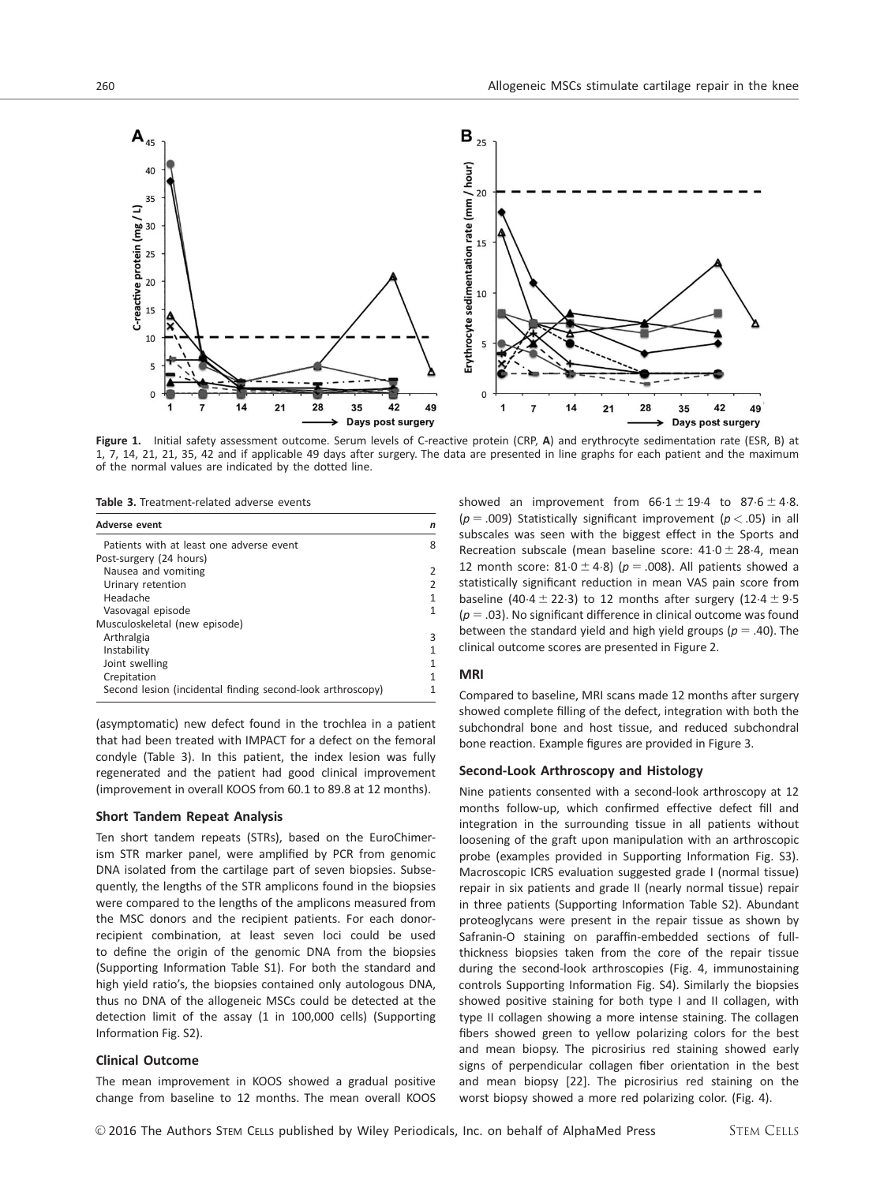

Figure 1. Initial safety assessment outcome. Serum levels of C-reactive protein (CRP, A) and erythrocyte sedimentation rate (ESR, B) at 1, 7, 14, 21, 21, 35, 42 and if applicable 49 days after surgery. The data are presented in line graphs for each patient and the maximum of the normal values are indicated by the dotted line.

Table 3. Treatment-related adverse events

| <b>Adverse event</b>                                       |   |
|------------------------------------------------------------|---|
| Patients with at least one adverse event                   | ጸ |
| Post-surgery (24 hours)                                    |   |
| Nausea and vomiting                                        |   |
| Urinary retention                                          |   |
| Headache                                                   |   |
| Vasovagal episode                                          |   |
| Musculoskeletal (new episode)                              |   |
| Arthralgia                                                 | ੨ |
| Instability                                                |   |
| Joint swelling                                             |   |
| Crepitation                                                |   |
| Second lesion (incidental finding second-look arthroscopy) |   |

(asymptomatic) new defect found in the trochlea in a patient that had been treated with IMPACT for a defect on the femoral condyle (Table 3). In this patient, the index lesion was fully regenerated and the patient had good clinical improvement (improvement in overall KOOS from 60.1 to 89.8 at 12 months).

## Short Tandem Repeat Analysis

Ten short tandem repeats (STRs), based on the EuroChimerism STR marker panel, were amplified by PCR from genomic DNA isolated from the cartilage part of seven biopsies. Subsequently, the lengths of the STR amplicons found in the biopsies were compared to the lengths of the amplicons measured from the MSC donors and the recipient patients. For each donorrecipient combination, at least seven loci could be used to define the origin of the genomic DNA from the biopsies (Supporting Information Table S1). For both the standard and high yield ratio's, the biopsies contained only autologous DNA, thus no DNA of the allogeneic MSCs could be detected at the detection limit of the assay (1 in 100,000 cells) (Supporting Information Fig. S2).

#### Clinical Outcome

The mean improvement in KOOS showed a gradual positive change from baseline to 12 months. The mean overall KOOS showed an improvement from  $66.1 \pm 19.4$  to  $87.6 \pm 4.8$ . ( $p = .009$ ) Statistically significant improvement ( $p < .05$ ) in all subscales was seen with the biggest effect in the Sports and Recreation subscale (mean baseline score:  $41.0 \pm 28.4$ , mean 12 month score:  $81.0 \pm 4.8$ ) ( $p = .008$ ). All patients showed a statistically significant reduction in mean VAS pain score from baseline (40.4  $\pm$  22.3) to 12 months after surgery (12.4  $\pm$  9.5  $(p = .03)$ . No significant difference in clinical outcome was found between the standard yield and high yield groups ( $p = .40$ ). The clinical outcome scores are presented in Figure 2.

#### MRI

Compared to baseline, MRI scans made 12 months after surgery showed complete filling of the defect, integration with both the subchondral bone and host tissue, and reduced subchondral bone reaction. Example figures are provided in Figure 3.

#### Second-Look Arthroscopy and Histology

Nine patients consented with a second-look arthroscopy at 12 months follow-up, which confirmed effective defect fill and integration in the surrounding tissue in all patients without loosening of the graft upon manipulation with an arthroscopic probe (examples provided in Supporting Information Fig. S3). Macroscopic ICRS evaluation suggested grade I (normal tissue) repair in six patients and grade II (nearly normal tissue) repair in three patients (Supporting Information Table S2). Abundant proteoglycans were present in the repair tissue as shown by Safranin-O staining on paraffin-embedded sections of fullthickness biopsies taken from the core of the repair tissue during the second-look arthroscopies (Fig. 4, immunostaining controls Supporting Information Fig. S4). Similarly the biopsies showed positive staining for both type I and II collagen, with type II collagen showing a more intense staining. The collagen fibers showed green to yellow polarizing colors for the best and mean biopsy. The picrosirius red staining showed early signs of perpendicular collagen fiber orientation in the best and mean biopsy [22]. The picrosirius red staining on the worst biopsy showed a more red polarizing color. (Fig. 4).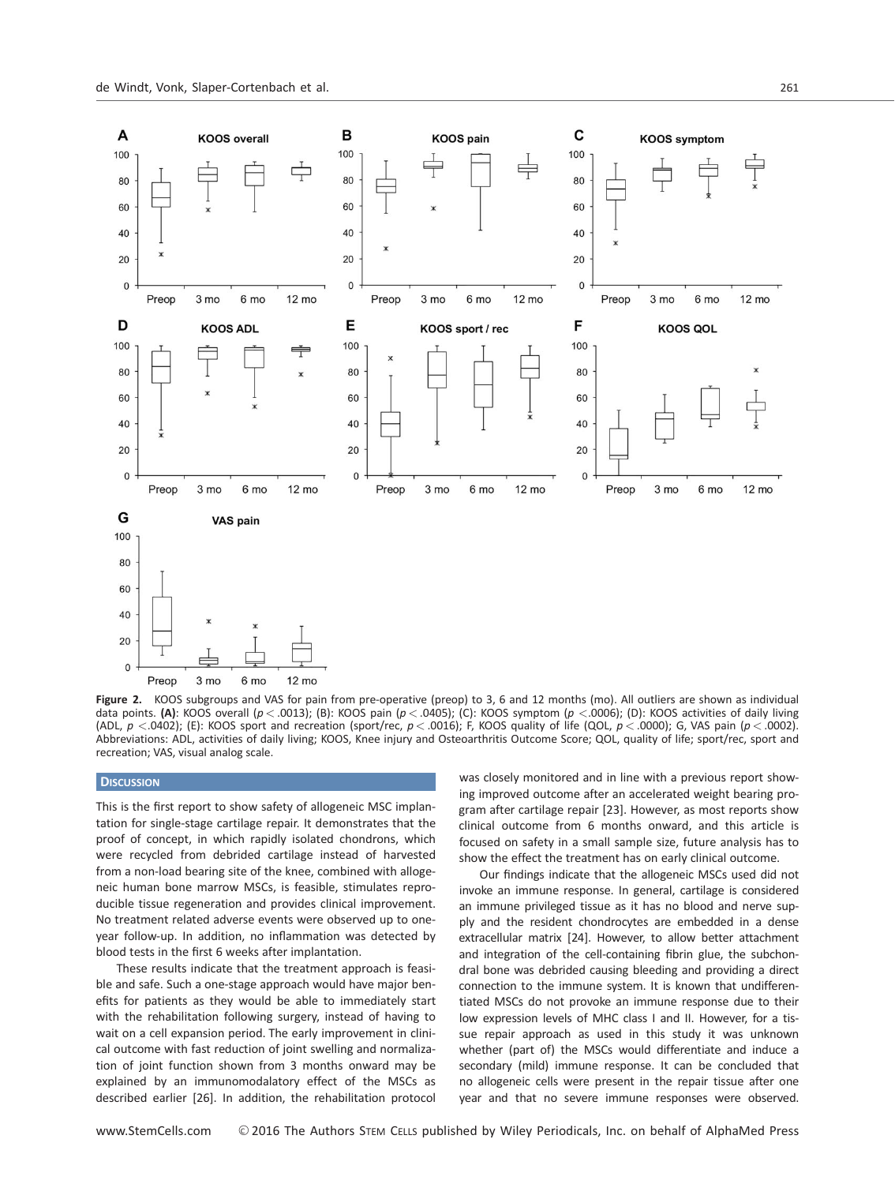

Figure 2. KOOS subgroups and VAS for pain from pre-operative (preop) to 3, 6 and 12 months (mo). All outliers are shown as individual data points. (A): KOOS overall ( $p < .0013$ ); (B): KOOS pain ( $p < .0405$ ); (C): KOOS symptom ( $p < .0006$ ); (D): KOOS activities of daily living (ADL,  $p < .0402$ ); (E): KOOS sport and recreation (sport/rec,  $p < .0016$ ); F, KOOS quality of life (QOL,  $p < .0000$ ); G, VAS pain ( $p < .0002$ ). Abbreviations: ADL, activities of daily living; KOOS, Knee injury and Osteoarthritis Outcome Score; QOL, quality of life; sport/rec, sport and recreation; VAS, visual analog scale.

## **DISCUSSION**

This is the first report to show safety of allogeneic MSC implantation for single-stage cartilage repair. It demonstrates that the proof of concept, in which rapidly isolated chondrons, which were recycled from debrided cartilage instead of harvested from a non-load bearing site of the knee, combined with allogeneic human bone marrow MSCs, is feasible, stimulates reproducible tissue regeneration and provides clinical improvement. No treatment related adverse events were observed up to oneyear follow-up. In addition, no inflammation was detected by blood tests in the first 6 weeks after implantation.

These results indicate that the treatment approach is feasible and safe. Such a one-stage approach would have major benefits for patients as they would be able to immediately start with the rehabilitation following surgery, instead of having to wait on a cell expansion period. The early improvement in clinical outcome with fast reduction of joint swelling and normalization of joint function shown from 3 months onward may be explained by an immunomodalatory effect of the MSCs as described earlier [26]. In addition, the rehabilitation protocol

was closely monitored and in line with a previous report showing improved outcome after an accelerated weight bearing program after cartilage repair [23]. However, as most reports show clinical outcome from 6 months onward, and this article is focused on safety in a small sample size, future analysis has to show the effect the treatment has on early clinical outcome.

Our findings indicate that the allogeneic MSCs used did not invoke an immune response. In general, cartilage is considered an immune privileged tissue as it has no blood and nerve supply and the resident chondrocytes are embedded in a dense extracellular matrix [24]. However, to allow better attachment and integration of the cell-containing fibrin glue, the subchondral bone was debrided causing bleeding and providing a direct connection to the immune system. It is known that undifferentiated MSCs do not provoke an immune response due to their low expression levels of MHC class I and II. However, for a tissue repair approach as used in this study it was unknown whether (part of) the MSCs would differentiate and induce a secondary (mild) immune response. It can be concluded that no allogeneic cells were present in the repair tissue after one year and that no severe immune responses were observed.

WWW.StemCells.com © 2016 The Authors STEM CELLS published by Wiley Periodicals, Inc. on behalf of AlphaMed Press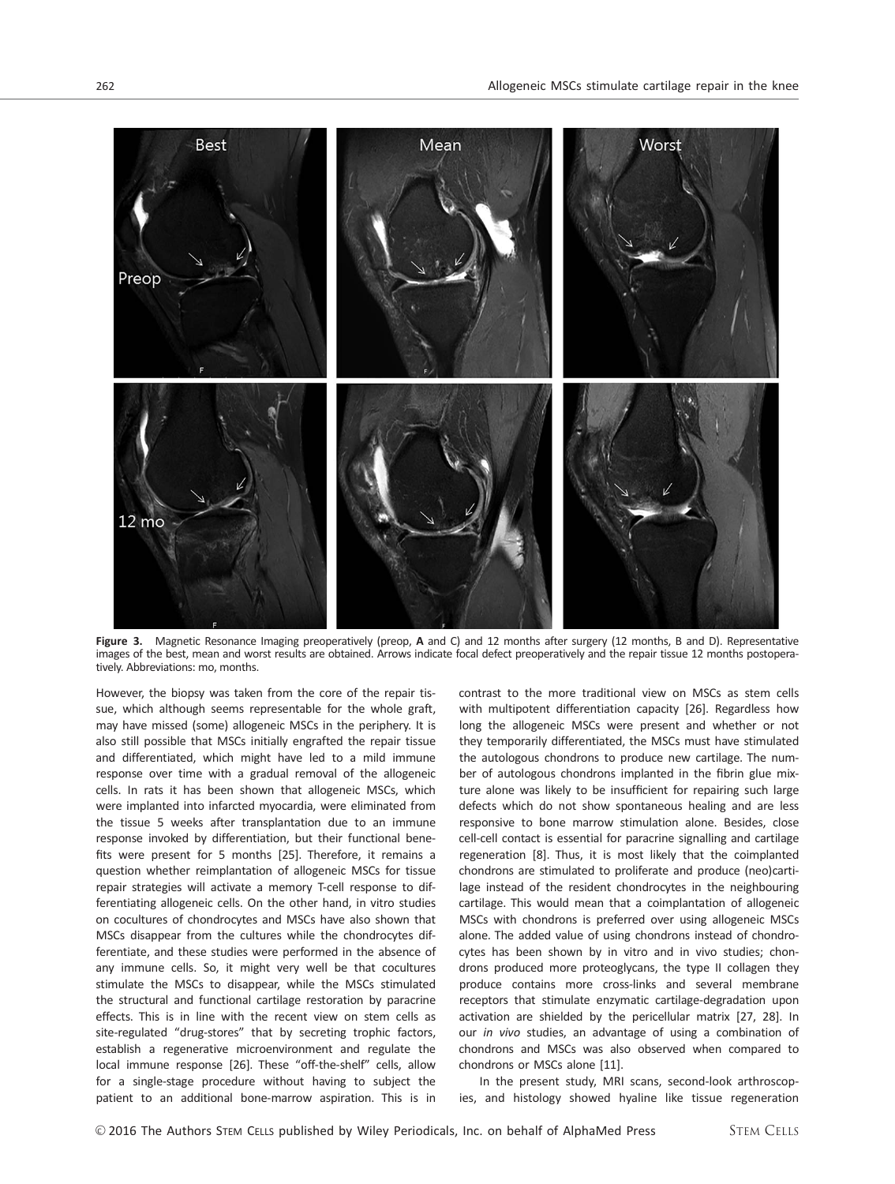

Figure 3. Magnetic Resonance Imaging preoperatively (preop, A and C) and 12 months after surgery (12 months, B and D). Representative images of the best, mean and worst results are obtained. Arrows indicate focal defect preoperatively and the repair tissue 12 months postoperatively. Abbreviations: mo, months.

However, the biopsy was taken from the core of the repair tissue, which although seems representable for the whole graft, may have missed (some) allogeneic MSCs in the periphery. It is also still possible that MSCs initially engrafted the repair tissue and differentiated, which might have led to a mild immune response over time with a gradual removal of the allogeneic cells. In rats it has been shown that allogeneic MSCs, which were implanted into infarcted myocardia, were eliminated from the tissue 5 weeks after transplantation due to an immune response invoked by differentiation, but their functional benefits were present for 5 months [25]. Therefore, it remains a question whether reimplantation of allogeneic MSCs for tissue repair strategies will activate a memory T-cell response to differentiating allogeneic cells. On the other hand, in vitro studies on cocultures of chondrocytes and MSCs have also shown that MSCs disappear from the cultures while the chondrocytes differentiate, and these studies were performed in the absence of any immune cells. So, it might very well be that cocultures stimulate the MSCs to disappear, while the MSCs stimulated the structural and functional cartilage restoration by paracrine effects. This is in line with the recent view on stem cells as site-regulated "drug-stores" that by secreting trophic factors, establish a regenerative microenvironment and regulate the local immune response [26]. These "off-the-shelf" cells, allow for a single-stage procedure without having to subject the patient to an additional bone-marrow aspiration. This is in

contrast to the more traditional view on MSCs as stem cells with multipotent differentiation capacity [26]. Regardless how long the allogeneic MSCs were present and whether or not they temporarily differentiated, the MSCs must have stimulated the autologous chondrons to produce new cartilage. The number of autologous chondrons implanted in the fibrin glue mixture alone was likely to be insufficient for repairing such large defects which do not show spontaneous healing and are less responsive to bone marrow stimulation alone. Besides, close cell-cell contact is essential for paracrine signalling and cartilage regeneration [8]. Thus, it is most likely that the coimplanted chondrons are stimulated to proliferate and produce (neo)cartilage instead of the resident chondrocytes in the neighbouring cartilage. This would mean that a coimplantation of allogeneic MSCs with chondrons is preferred over using allogeneic MSCs alone. The added value of using chondrons instead of chondrocytes has been shown by in vitro and in vivo studies; chondrons produced more proteoglycans, the type II collagen they produce contains more cross-links and several membrane receptors that stimulate enzymatic cartilage-degradation upon activation are shielded by the pericellular matrix [27, 28]. In our in vivo studies, an advantage of using a combination of chondrons and MSCs was also observed when compared to chondrons or MSCs alone [11].

In the present study, MRI scans, second-look arthroscopies, and histology showed hyaline like tissue regeneration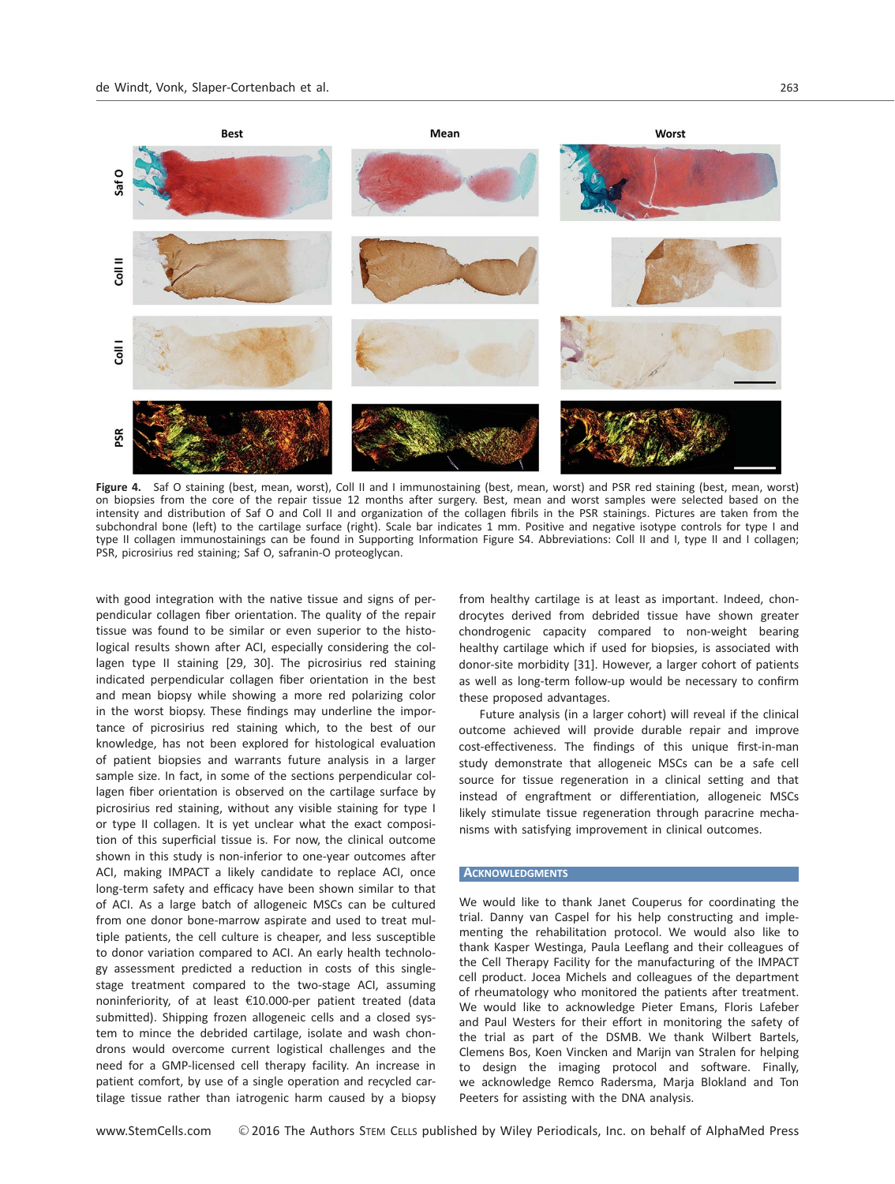

Figure 4. Saf O staining (best, mean, worst), Coll II and I immunostaining (best, mean, worst) and PSR red staining (best, mean, worst) on biopsies from the core of the repair tissue 12 months after surgery. Best, mean and worst samples were selected based on the intensity and distribution of Saf O and Coll II and organization of the collagen fibrils in the PSR stainings. Pictures are taken from the subchondral bone (left) to the cartilage surface (right). Scale bar indicates 1 mm. Positive and negative isotype controls for type I and type II collagen immunostainings can be found in Supporting Information Figure S4. Abbreviations: Coll II and I, type II and I collagen; PSR, picrosirius red staining; Saf O, safranin-O proteoglycan.

with good integration with the native tissue and signs of perpendicular collagen fiber orientation. The quality of the repair tissue was found to be similar or even superior to the histological results shown after ACI, especially considering the collagen type II staining [29, 30]. The picrosirius red staining indicated perpendicular collagen fiber orientation in the best and mean biopsy while showing a more red polarizing color in the worst biopsy. These findings may underline the importance of picrosirius red staining which, to the best of our knowledge, has not been explored for histological evaluation of patient biopsies and warrants future analysis in a larger sample size. In fact, in some of the sections perpendicular collagen fiber orientation is observed on the cartilage surface by picrosirius red staining, without any visible staining for type I or type II collagen. It is yet unclear what the exact composition of this superficial tissue is. For now, the clinical outcome shown in this study is non-inferior to one-year outcomes after ACI, making IMPACT a likely candidate to replace ACI, once long-term safety and efficacy have been shown similar to that of ACI. As a large batch of allogeneic MSCs can be cultured from one donor bone-marrow aspirate and used to treat multiple patients, the cell culture is cheaper, and less susceptible to donor variation compared to ACI. An early health technology assessment predicted a reduction in costs of this singlestage treatment compared to the two-stage ACI, assuming noninferiority, of at least  $£10.000$ -per patient treated (data submitted). Shipping frozen allogeneic cells and a closed system to mince the debrided cartilage, isolate and wash chondrons would overcome current logistical challenges and the need for a GMP-licensed cell therapy facility. An increase in patient comfort, by use of a single operation and recycled cartilage tissue rather than iatrogenic harm caused by a biopsy

from healthy cartilage is at least as important. Indeed, chondrocytes derived from debrided tissue have shown greater chondrogenic capacity compared to non-weight bearing healthy cartilage which if used for biopsies, is associated with donor-site morbidity [31]. However, a larger cohort of patients as well as long-term follow-up would be necessary to confirm these proposed advantages.

Future analysis (in a larger cohort) will reveal if the clinical outcome achieved will provide durable repair and improve cost-effectiveness. The findings of this unique first-in-man study demonstrate that allogeneic MSCs can be a safe cell source for tissue regeneration in a clinical setting and that instead of engraftment or differentiation, allogeneic MSCs likely stimulate tissue regeneration through paracrine mechanisms with satisfying improvement in clinical outcomes.

#### **ACKNOWLEDGMENTS**

We would like to thank Janet Couperus for coordinating the trial. Danny van Caspel for his help constructing and implementing the rehabilitation protocol. We would also like to thank Kasper Westinga, Paula Leeflang and their colleagues of the Cell Therapy Facility for the manufacturing of the IMPACT cell product. Jocea Michels and colleagues of the department of rheumatology who monitored the patients after treatment. We would like to acknowledge Pieter Emans, Floris Lafeber and Paul Westers for their effort in monitoring the safety of the trial as part of the DSMB. We thank Wilbert Bartels, Clemens Bos, Koen Vincken and Marijn van Stralen for helping to design the imaging protocol and software. Finally, we acknowledge Remco Radersma, Marja Blokland and Ton Peeters for assisting with the DNA analysis.